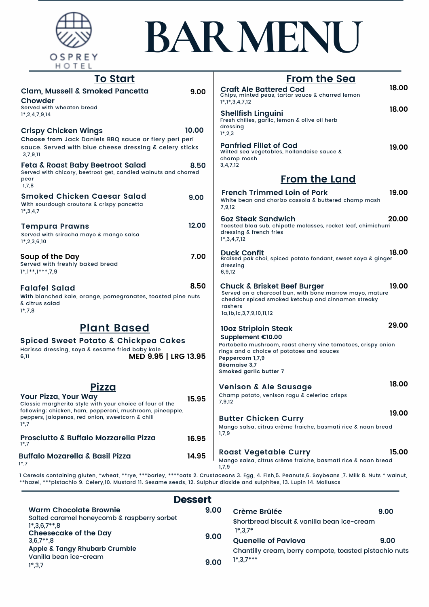

## **BAR MENU**

| <u>To Start</u>                                                                                                                                                                                                              |       | <u>From the Sea</u>                                                                                                                                                                            |       |
|------------------------------------------------------------------------------------------------------------------------------------------------------------------------------------------------------------------------------|-------|------------------------------------------------------------------------------------------------------------------------------------------------------------------------------------------------|-------|
| Clam, Mussell & Smoked Pancetta<br>Chowder                                                                                                                                                                                   | 9.00  | <b>Craft Ale Battered Cod</b><br>Chips, minted peas, tartar sauce & charred lemon<br>$1^*, 1^*, 3, 4, 7, 12$                                                                                   | 18.00 |
| Served with wheaten bread<br>$1^*$ , 2, 4, 7, 9, 14                                                                                                                                                                          |       | <b>Shellfish Linguini</b><br>Fresh chilies, garlic, lemon & olive oil herb<br>dressing                                                                                                         | 18.00 |
| <b>Crispy Chicken Wings</b><br>Choose from Jack Daniels BBQ sauce or fiery peri peri<br>sauce. Served with blue cheese dressing & celery sticks<br>3,7,9,11                                                                  | 10.00 | $1^*$ , 2, 3<br><b>Panfried Fillet of Cod</b><br>Wilted sea vegetables, hollandaise sauce &                                                                                                    | 19.00 |
| <b>Feta &amp; Roast Baby Beetroot Salad</b><br>Served with chicory, beetroot get, candied walnuts and charred<br>pear<br>1,7,8                                                                                               | 8.50  | champ mash<br>3,4,7,12<br><b>From the Land</b>                                                                                                                                                 |       |
| <b>Smoked Chicken Caesar Salad</b><br>With sourdough croutons & crispy pancetta<br>$1*, 3, 4, 7$                                                                                                                             | 9.00  | <b>French Trimmed Loin of Pork</b><br>White bean and chorizo cassola & buttered champ mash<br>7,9,12                                                                                           | 19.00 |
| <b>Tempura Prawns</b><br>Served with sriracha mayo & mango salsa<br>$1^*$ , 2, 3, 6, 10                                                                                                                                      | 12.00 | <b>60z Steak Sandwich</b><br>Toasted blaa sub, chipotle molasses, rocket leaf, chimichurri<br>dressing & french fries<br>$1^*$ , 3, 4, 7, 12                                                   | 20.00 |
| Soup of the Day<br>Served with freshly baked bread<br>$1^*$ , $1^{**}$ , $1^{***}$ , $7,9$                                                                                                                                   | 7.00  | <b>Duck Confit</b><br>Braised pak choi, spiced potato fondant, sweet soya & ginger<br>dressing<br>6,9,12                                                                                       | 18.00 |
| <b>Falafel Salad</b><br>With blanched kale, orange, pomegranates, toasted pine nuts<br>& citrus salad<br>$1^*$ , 7, 8                                                                                                        | 8.50  | Chuck & Brisket Beef Burger<br>Served on a charcoal bun, with bone marrow mayo, mature<br>cheddar spiced smoked ketchup and cinnamon streaky<br>rashers<br>la, 1b, 1c, 3, 7, 9, 10, 11, 12     | 19.00 |
| <b>Plant Based</b>                                                                                                                                                                                                           |       | 10oz Striploin Steak                                                                                                                                                                           | 29.00 |
| <b>Spiced Sweet Potato &amp; Chickpea Cakes</b><br>Harissa dressing, soya & sesame fried baby kale<br>MED 9.95   LRG 13.95<br>6,11                                                                                           |       | Supplement €10.00<br>Portobello mushroom, roast cherry vine tomatoes, crispy onion<br>rings and a choice of potatoes and sauces<br>Peppercorn 1,7,9<br>Béarnaise 3,7<br>Smoked garlic butter 7 |       |
| <u>Pizza</u><br>Your Pizza, Your Way<br>Classic margherita style with your choice of four of the<br>following: chicken, ham, pepperoni, mushroom, pineapple,<br>peppers, jalapenos, red onion, sweetcorn & chili<br>$1^*$ ,7 | 15.95 | <b>Venison &amp; Ale Sausage</b><br>Champ potato, venison ragu & celeriac crisps<br>7,9,12                                                                                                     | 18.00 |
|                                                                                                                                                                                                                              |       | <b>Butter Chicken Curry</b><br>Mango salsa, citrus crème fraiche, basmati rice & naan bread                                                                                                    | 19.00 |
| Prosciutto & Buffalo Mozzarella Pizza<br>$1^*$ ,7                                                                                                                                                                            | 16.95 | 1,7,9                                                                                                                                                                                          |       |
| <b>Buffalo Mozarella &amp; Basil Pizza</b><br>$1^*$ ,7                                                                                                                                                                       | 14.95 | <b>Roast Vegetable Curry</b><br>Mango salsa, citrus crème fraiche, basmati rice & naan bread<br>1,7,9                                                                                          | 15.00 |

1 Cereals containing gluten, \*wheat, \*\*rye, \*\*\*barley, \*\*\*\*oats 2. Crustaceans 3. Egg, 4. Fish,5. Peanuts,6. Soybeans ,7. Milk 8. Nuts \* walnut, \*\*hazel, \*\*\*pistachio 9. Celery,10. Mustard 11. Sesame seeds, 12. Sulphur dioxide and sulphites, 13. Lupin 14. Molluscs 

| <b>Dessert</b>                                                                                                                                             |      |                                                                                      |      |  |  |
|------------------------------------------------------------------------------------------------------------------------------------------------------------|------|--------------------------------------------------------------------------------------|------|--|--|
| <b>Warm Chocolate Brownie</b>                                                                                                                              | 9.00 | Crème Brûlée                                                                         | 9.00 |  |  |
| Salted caramel honeycomb & raspberry sorbet<br>$1^*$ .3.6.7**.8<br><b>Cheesecake of the Day</b><br>$3.6.7**.8$<br><b>Apple &amp; Tangy Rhubarb Crumble</b> | 9.00 | Shortbread biscuit & vanilla bean ice-cream<br>$1^*3.7^*$                            |      |  |  |
|                                                                                                                                                            |      | <b>Quenelle of Pavlova</b><br>Chantilly cream, berry compote, toasted pistachio nuts | 9.00 |  |  |
| Vanilla bean ice-cream<br>$1^*$ , 3, 7                                                                                                                     | 9.00 | $1^*$ , 3, $7^{***}$                                                                 |      |  |  |